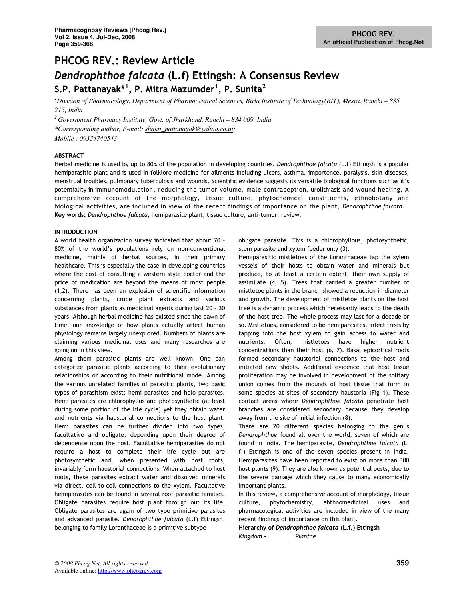## PHCOG REV.: Review Article

# Dendrophthoe falcata (L.f) Ettingsh: A Consensus Review S.P. Pattanayak $^{\ast1}$ , P. Mitra Mazumder $^1$ , P. Sunita $^2$

*<sup>1</sup>Division of Pharmacology, Department of Pharmaceutical Sciences, Birla Institute of Technology(BIT), Mesra, Ranchi – 835 215, India* 

*<sup>2</sup>Government Pharmacy Institute, Govt. of Jharkhand, Ranchi – 834 009, India \*Corresponding author, E-mail: shakti\_pattanayak@yahoo.co.in; Mobile : 09334740543* 

## ABSTRACT

Herbal medicine is used by up to 80% of the population in developing countries. Dendrophthoe falcata (L.f) Ettingsh is a popular hemiparasitic plant and is used in folklore medicine for ailments including ulcers, asthma, importence, paralysis, skin diseases, menstrual troubles, pulmonary tuberculosis and wounds. Scientific evidence suggests its versatile biological functions such as it's potentiality in immunomodulation, reducing the tumor volume, male contraception, urolithiasis and wound healing. A comprehensive account of the morphology, tissue culture, phytochemical constituents, ethnobotany and biological activities, are included in view of the recent findings of importance on the plant, Dendrophthoe falcata. Key words: Dendrophthoe falcata, hemiparasite plant, tissue culture, anti-tumor, review.

## INTRODUCTION

A world health organization survey indicated that about 70 – 80% of the world's populations rely on non-conventional medicine, mainly of herbal sources, in their primary healthcare. This is especially the case in developing countries where the cost of consulting a western style doctor and the price of medication are beyond the means of most people (1,2). There has been an explosion of scientific information concerning plants, crude plant extracts and various substances from plants as medicinal agents during last 20 – 30 years. Although herbal medicine has existed since the dawn of time, our knowledge of how plants actually affect human physiology remains largely unexplored. Numbers of plants are claiming various medicinal uses and many researches are going on in this view.

Among them parasitic plants are well known. One can categorize parasitic plants according to their evolutionary relationships or according to their nutritional mode. Among the various unrelated families of parasitic plants, two basic types of parasitism exist: hemi parasites and holo parasites. Hemi parasites are chlorophyllus and photosynthetic (at least during some portion of the life cycle) yet they obtain water and nutrients via haustorial connections to the host plant. Hemi parasites can be further divided into two types, facultative and obligate, depending upon their degree of dependence upon the host. Facultative hemiparasites do not require a host to complete their life cycle but are photosynthetic and, when presented with host roots, invariably form haustorial connections. When attached to host roots, these parasites extract water and dissolved minerals via direct, cell-to-cell connections to the xylem. Facultative hemiparasites can be found in several root-parasitic families. Obligate parasites require host plant through out its life. Obligate parasites are again of two type primitive parasites and advanced parasite. Dendrophthoe falcata (L.f) Ettingsh, belonging to family Loranthaceae is a primitive subtype

obligate parasite. This is a chlorophyllous, photosynthetic, stem parasite and xylem feeder only (3).

Hemiparasitic mistletoes of the Loranthaceae tap the xylem vessels of their hosts to obtain water and minerals but produce, to at least a certain extent, their own supply of assimilate (4, 5). Trees that carried a greater number of mistletoe plants in the branch showed a reduction in diameter and growth. The development of mistletoe plants on the host tree is a dynamic process which necessarily leads to the death of the host tree. The whole process may last for a decade or so. Mistletoes, considered to be hemiparasites, infect trees by tapping into the host xylem to gain access to water and nutrients. Often, mistletoes have higher nutrient concentrations than their host (6, 7). Basal epicortical roots formed secondary haustorial connections to the host and initiated new shoots. Additional evidence that host tissue proliferation may be involved in development of the solitary union comes from the mounds of host tissue that form in some species at sites of secondary haustoria (Fig 1). These contact areas where Dendrophthoe falcata penetrate host branches are considered secondary because they develop away from the site of initial infection (8).

There are 20 different species belonging to the genus Dendrophthoe found all over the world, seven of which are found in India. The hemiparasite, Dendrophthoe falcata (L. f.) Ettingsh is one of the seven species present in India. Hemiparasites have been reported to exist on more than 300 host plants (9). They are also known as potential pests, due to the severe damage which they cause to many economically important plants.

In this review, a comprehensive account of morphology, tissue culture, phytochemistry, ehthnomedicinal uses and pharmacological activities are included in view of the many recent findings of importance on this plant.

Hierarchy of Dendrophthoe falcata (L.f.) Ettingsh Kingdom - Plantae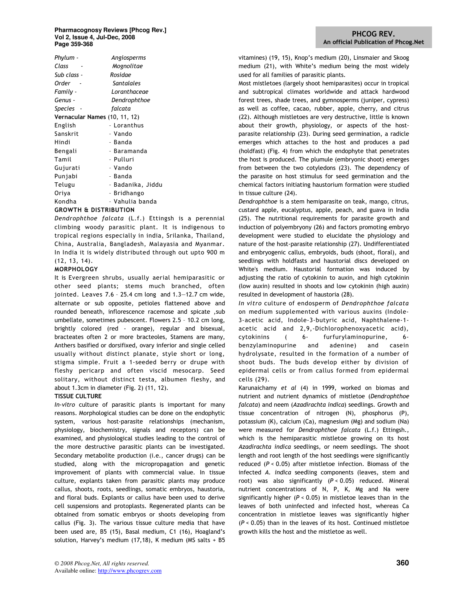#### **Pharmacognosy Reviews [Phcog Rev.] Vol 2, Issue 4, Jul-Dec, 2008 Page 359-368**

| Phylum -                      | Angiosperms       |
|-------------------------------|-------------------|
| Class                         | Mognolitae        |
| Sub class -                   | Rosidae           |
| Order                         | Santalales        |
| Family -                      | Loranthaceae      |
| Genus -                       | Dendrophthoe      |
| Species -                     | falcata           |
| Vernacular Names (10, 11, 12) |                   |
| English                       | - Loranthus       |
| Sanskrit                      | - Vando           |
| Hindi                         | - Banda           |
| Bengali                       | - Baramanda       |
| Tamil                         | - Pulluri         |
| Gujurati                      | - Vando           |
| Punjabi                       | - Banda           |
| Telugu                        | - Badanika, Jiddu |
| Oriya                         | - Bridhango       |
| Kondha                        | - Vahulia banda   |
| COOMTU & DICTOIDIITION        |                   |

#### GROWTH & DISTRIBUTION

Dendrophthoe falcata (L.f.) Ettingsh is a perennial climbing woody parasitic plant. It is indigenous to tropical regions especially in india, Srilanka, Thailand, China, Australia, Bangladesh, Malayasia and Myanmar. In India it is widely distributed through out upto 900 m (12, 13, 14).

## **MORPHOLOGY**

It is Evergreen shrubs, usually aerial hemiparasitic or other seed plants; stems much branched, often jointed. Leaves 7.6 – 25.4 cm long and 1.3—12.7 cm wide, alternate or sub opposite, petioles flattened above and rounded beneath, inflorescence racemose and spicate ,sub umbellate, sometimes pubescent. Flowers 2.5 – 10.2 cm long, brightly colored (red - orange), regular and bisexual, bracteates often 2 or more bracteoles, Stamens are many, Anthers basified or dorsifixed, ovary inferior and single celled usually without distinct planate, style short or long, stigma simple. Fruit a 1-seeded berry or drupe with fleshy pericarp and often viscid mesocarp. Seed solitary, without distinct testa, albumen fleshy, and about 1.3cm in diameter (Fig. 2) (11, 12).

## TISSUE CULTURE

In-vitro culture of parasitic plants is important for many reasons. Morphological studies can be done on the endophytic system, various host-parasite relationships (mechanism, physiology, biochemistry, signals and receptors) can be examined, and physiological studies leading to the control of the more destructive parasitic plants can be investigated. Secondary metabolite production (i.e., cancer drugs) can be studied, along with the micropropagation and genetic improvement of plants with commercial value. In tissue culture, explants taken from parasitic plants may produce callus, shoots, roots, seedlings, somatic embryos, haustoria, and floral buds. Explants or callus have been used to derive cell suspensions and protoplasts. Regenerated plants can be obtained from somatic embryos or shoots developing from callus (Fig. 3). The various tissue culture media that have been used are, B5 (15), Basal medium, C1 (16), Hoagland's solution, Harvey's medium (17,18), K medium (MS salts + B5

vitamines) (19, 15), Knop's medium (20), Linsmaier and Skoog medium (21), with White's medium being the most widely used for all families of parasitic plants.

Most mistletoes (largely shoot hemiparasites) occur in tropical and subtropical climates worldwide and attack hardwood forest trees, shade trees, and gymnosperms (juniper, cypress) as well as coffee, cacao, rubber, apple, cherry, and citrus (22). Although mistletoes are very destructive, little is known about their growth, physiology, or aspects of the hostparasite relationship (23). During seed germination, a radicle emerges which attaches to the host and produces a pad (holdfast) (Fig. 4) from which the endophyte that penetrates the host is produced. The plumule (embryonic shoot) emerges from between the two cotyledons (23). The dependency of the parasite on host stimulus for seed germination and the chemical factors initiating haustorium formation were studied in tissue culture (24).

Dendrophthoe is a stem hemiparasite on teak, mango, citrus, custard apple, eucalyptus, apple, peach, and guava in India (25). The nutritional requirements for parasite growth and induction of polyembryony (26) and factors promoting embryo development were studied to elucidate the physiology and nature of the host-parasite relationship (27). Undifferentiated and embryogenic callus, embryoids, buds (shoot, floral), and seedlings with holdfasts and haustorial discs developed on White's medium. Haustorial formation was induced by adjusting the ratio of cytokinin to auxin, and high cytokinin (low auxin) resulted in shoots and low cytokinin (high auxin) resulted in development of haustoria (28).

In vitro culture of endosperm of Dendrophthoe falcata on medium supplemented with various auxins (Indole-3-acetic acid, Indole-3-butyric acid, Naphthalene-1 acetic acid and 2,9,-Dichlorophenoxyacetic acid), cytokinins ( 6- furfurylaminopurine, 6 benzylaminopurine and adenine) and casein hydrolysate, resulted in the formation of a number of shoot buds. The buds develop either by division of epidermal cells or from callus formed from epidermal cells (29).

Karunaichamy et al (4) in 1999, worked on biomas and nutrient and nutrient dynamics of mistletoe (Dendrophthoe falcata) and neem (Azadirachta indica) seedlings. Growth and tissue concentration of nitrogen (N), phosphorus (P), potassium (K), calcium (Ca), magnesium (Mg) and sodium (Na) were measured for Dendrophthoe falcata (L.f.) Ettingsh., which is the hemiparasitic mistletoe growing on its host Azadirachta indica seedlings, or neem seedlings. The shoot length and root length of the host seedlings were significantly reduced ( $P < 0.05$ ) after mistletoe infection. Biomass of the infected A. indica seedling components (leaves, stem and root) was also significantly  $(P < 0.05)$  reduced. Mineral nutrient concentrations of N, P, K, Mg and Na were significantly higher ( $P < 0.05$ ) in mistletoe leaves than in the leaves of both uninfected and infected host, whereas Ca concentration in mistletoe leaves was significantly higher  $(P < 0.05)$  than in the leaves of its host. Continued mistletoe growth kills the host and the mistletoe as well.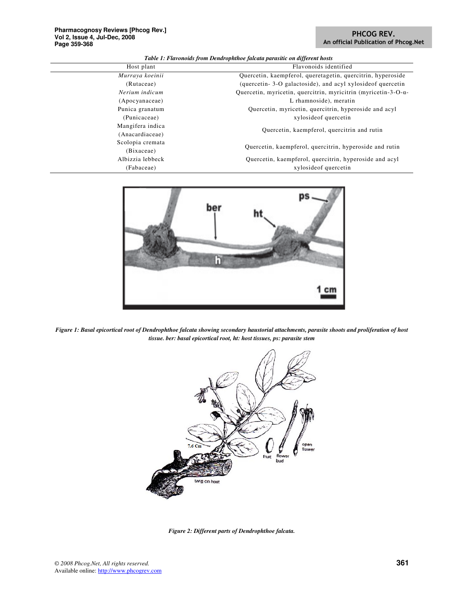## PHCOG REV. An official Publication of Phcog.Net

*Table 1: Flavonoids from Dendrophthoe falcata parasitic on different hosts* 

| Host plant       | Flavonoids identified                                                   |
|------------------|-------------------------------------------------------------------------|
| Murraya koeinii  | Quercetin, kaempferol, queretagetin, quercitrin, hyperoside             |
| (Rutaceae)       | (quercetin-3-O galactoside), and acyl xyloside of quercetin             |
| Nerium indicum   | Quercetin, myricetin, quercitrin, myricitrin (myricetin-3-O- $\alpha$ - |
| (Apocyanaceae)   | L rhamnoside), meratin                                                  |
| Punica granatum  | Quercetin, myricetin, quercitrin, hyperoside and acyl                   |
| (Punicaceae)     | xyloside of quercetin                                                   |
| Mangifera indica | Quercetin, kaempferol, quercitrin and rutin                             |
| (Anacardiaceae)  |                                                                         |
| Scolopia cremata | Quercetin, kaempferol, quercitrin, hyperoside and rutin                 |
| (Bixaceae)       |                                                                         |
| Albizzia lebbeck | Quercetin, kaempferol, quercitrin, hyperoside and acyl                  |
| (Fabaceae)       | xyloside of quercetin                                                   |
|                  |                                                                         |



*Figure 1: Basal epicortical root of Dendrophthoe falcata showing secondary haustorial attachments, parasite shoots and proliferation of host tissue. ber: basal epicortical root, ht: host tissues, ps: parasite stem* 



*Figure 2: Different parts of Dendrophthoe falcata.*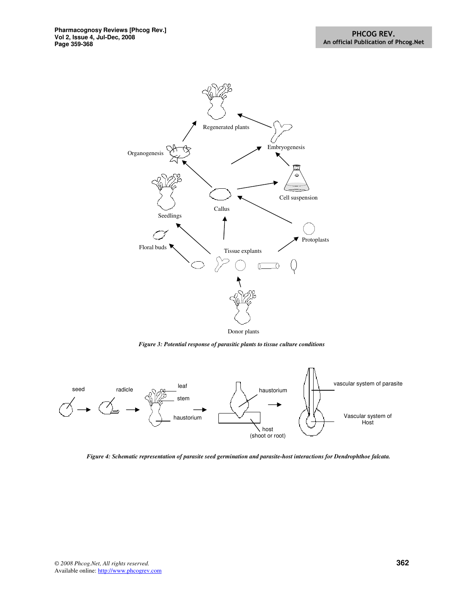

*Figure 3: Potential response of parasitic plants to tissue culture conditions* 



*Figure 4: Schematic representation of parasite seed germination and parasite-host interactions for Dendrophthoe falcata.*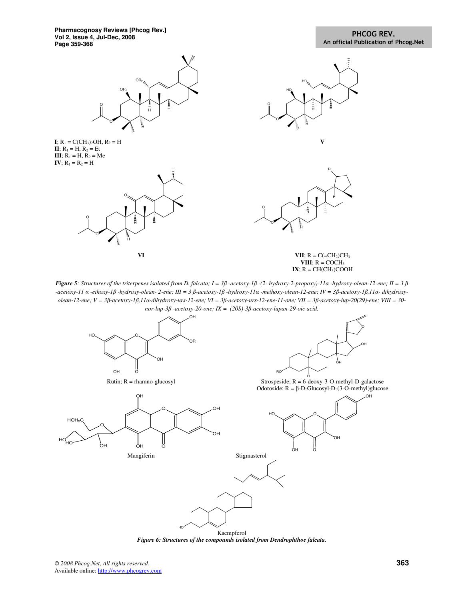

*Figure 5: Structures of the triterpenes isolated from D. falcata; I = 3*β *-acetoxy-1*β *-(2- hydroxy-2-propoxy)-11*α *-hydroxy-olean-12-ene; II = 3* β *-acetoxy-11* α *-ethoxy-1*β *-hydroxy-olean- 2-ene; III = 3* β*-acetoxy-1*β *-hydroxy-11*α *-methoxy-olean-12-ene; IV = 3*β*-acetoxy-1*β*,11*α*- dihydroxyolean-12-ene; V = 3*β*-acetoxy-1*β*,11*α*-dihydroxy-urs-12-ene; VI = 3*β*-acetoxy-urs-12-ene-11-one; VII = 3*β*-acetoxy-lup-20(29)-ene; VIII = 30 nor-lup-3*β *-acetoxy-20-one; IX = (20S)-3*β*-acetoxy-lupan-29-oic acid.* 



*Figure 6: Structures of the compounds isolated from Dendrophthoe falcata.*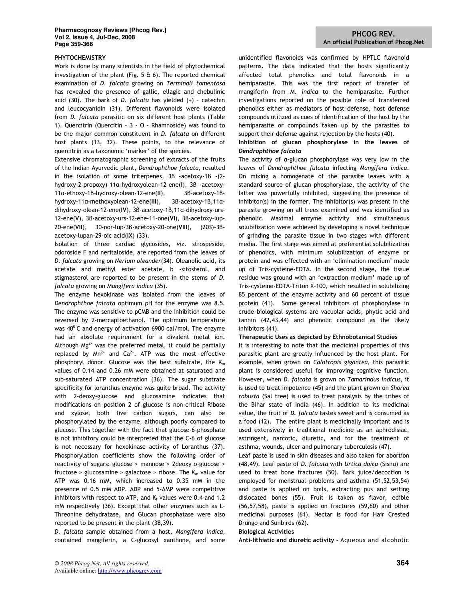#### PHYTOCHEMISTRY

Work is done by many scientists in the field of phytochemical investigation of the plant (Fig. 5  $\&$  6). The reported chemical examination of D. falcata growing on Terminali tomentosa has revealed the presence of gallic, ellagic and chebulinic acid (30). The bark of D. falcata has yielded  $(+)$  - catechin and leucocyanidin (31). Different flavonoids were isolated from D. falcata parasitic on six different host plants (Table 1). Quercitrin (Quercitin - 3 - O - Rhamnoside) was found to be the major common constituent in D. falcata on different host plants (13, 32). These points, to the relevance of quercitrin as a taxonomic 'marker' of the species.

Extensive chromatographic screening of extracts of the fruits of the Indian Ayurvedic plant, Dendrophthoe falcata, resulted in the isolation of some triterpenes, 3β -acetoxy-1β -(2 hydroxy-2-propoxy)-11α-hydroxyolean-12-ene(I), 3β -acetoxy-11α-ethoxy-1β-hydroxy-olean-12-ene(II), 3β-acetoxy-1βhydroxy-11α-methoxyolean-12-ene(III), 3β-acetoxy-1β,11αdihydroxy-olean-12-ene(IV), 3β-acetoxy-1β,11α-dihydroxy-urs-12-ene(V), 3β-acetoxy-urs-12-ene-11-one(VI), 3β-acetoxy-lup-20-ene(VII), 30-nor-lup-3β-acetoxy-20-one(VIII), (20S)-3βacetoxy-lupan-29-oic acid(IX) (33).

Isolation of three cardiac glycosides, viz. strospeside, odoroside F and neritaloside, are reported from the leaves of D. falcata growing on Nerium oleander(34). Oleanolic acid, its acetate and methyl ester acetate, b -sitosterol, and stigmasterol are reported to be present in the stems of D. falcata growing on Mangifera indica (35).

The enzyme hexokinase was isolated from the leaves of Dendrophthoe falcata optimum pH for the enzyme was 8.5. The enzyme was sensitive to pCMB and the inhibition could be reversed by 2-mercaptoethanol. The optimum temperature was  $40^{\circ}$  C and energy of activation 6900 cal/mol. The enzyme had an absolute requirement for a divalent metal ion. Although  $Mg^{2+}$  was the preferred metal, it could be partially replaced by  $Mn^{2+}$  and Ca<sup>2+</sup>. ATP was the most effective phosphoryl donor. Glucose was the best substrate, the  $K_m$ values of 0.14 and 0.26 mM were obtained at saturated and sub-saturated ATP concentration (36). The sugar substrate specificity for loranthus enzyme was quite broad. The activity with 2-deoxy-glucose and glucosamine indicates that modifications on position 2 of glucose is non-critical Ribose and xylose, both five carbon sugars, can also be phosphorylated by the enzyme, although poorly compared to glucose. This together with the fact that glucose-6-phosphate is not inhibitory could be interpreted that the C-6 of glucose is not necessary for hexokinase activity of Loranthus (37). Phosphorylation coefficients show the following order of reactivity of sugars: glucose > mannose > 2deoxy o-glucose > fructose > glucosamine > galactose > ribose. The  $K_m$  value for ATP was 0.16 mM, which increased to 0.35 mM in the presence of 0.5 mM ADP. ADP and 5-AMP were competitive inhibitors with respect to ATP, and  $K_f$  values were 0.4 and 1.2 mM respectively (36). Except that other enzymes such as L-Threonine dehydratase, and Glucan phosphatase were also reported to be present in the plant (38,39).

D. falcata sample obtained from a host, Mangifera indica, contained mangiferin, a C-glucosyl xanthone, and some unidentified flavonoids was confirmed by HPTLC flavonoid patterns. The data indicated that the hosts significantly affected total phenolics and total flavonoids in a hemiparasite. This was the first report of transfer of mangiferin from M. indica to the hemiparasite. Further investigations reported on the possible role of transferred phenolics either as mediators of host defense, host defense compounds utilized as cues of identification of the host by the hemiparasite or compounds taken up by the parasites to support their defense against rejection by the hosts (40).

## Inhibition of glucan phosphorylase in the leaves of Dendrophthoe falcata

The activity of α-glucan phosphorylase was very low in the leaves of Dendrophthoe fulcata infecting Mangifera indica. On mixing a homogenate of the parasite leaves with a standard source of glucan phosphorylase, the activity of the latter was powerfully inhibited, suggesting the presence of inhibitor(s) in the former. The inhibitor(s) was present in the parasite growing on all trees examined and was identified as phenolic. Maximal enzyme activity and simultaneous solubilization were achieved by developing a novel technique of grinding the parasite tissue in two stages with different media. The first stage was aimed at preferential solubilization of phenolics, with minimum solubilization of enzyme or protein and was effected with an 'elimination medium' made up of Tris-cysteine-EDTA. In the second stage, the tissue residue was ground with an 'extraction medium' made up of Tris-cysteine-EDTA-Triton X-100, which resulted in solubilizing 85 percent of the enzyme activity and 60 percent of tissue protein (41). Some general inhibitors of phosphorylase in crude biological systems are vacuolar acids, phytic acid and tannin (42,43,44) and phenolic compound as the likely inhibitors (41).

## Therapeutic Uses as depicted by Ethnobotanical Studies

It is interesting to note that the medicinal properties of this parasitic plant are greatly influenced by the host plant. For example, when grown on Calotropis gigantea, this parasitic plant is considered useful for improving cognitive function. However, when D. falcata is grown on Tamarindus indicus, it is used to treat impotence (45) and the plant grown on Shorea robusta (Sal tree) is used to treat paralysis by the tribes of the Bihar state of India (46). In addition to its medicinal value, the fruit of D. falcata tastes sweet and is consumed as a food (12). The entire plant is medicinally important and is used extensively in traditional medicine as an aphrodisiac, astringent, narcotic, diuretic, and for the treatment of asthma, wounds, ulcer and pulmonary tuberculosis (47).

Leaf paste is used in skin diseases and also taken for abortion (48,49). Leaf paste of D. falcata with Urtica doica (Sisnu) are used to treat bone fractures (50). Bark juice/decoction is employed for menstrual problems and asthma (51,52,53,54) and paste is applied on boils, extracting pus and setting dislocated bones (55). Fruit is taken as flavor, edible (56,57,58), paste is applied on fractures (59,60) and other medicinal purposes (61). Nectar is food for Hair Crested Drungo and Sunbirds (62).

#### Biological Activities

Anti-lithiatic and diuretic activity - Aqueous and alcoholic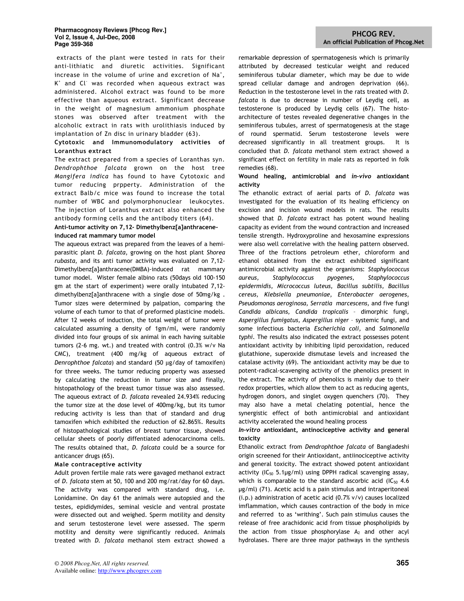#### **Pharmacognosy Reviews [Phcog Rev.] Vol 2, Issue 4, Jul-Dec, 2008 Page 359-368**

 extracts of the plant were tested in rats for their anti-lithiatic and diuretic activities. Significant increase in the volume of urine and excretion of Na<sup>+</sup>, K<sup>+</sup> and Cl<sup>-</sup> was recorded when aqueous extract was administered. Alcohol extract was found to be more effective than aqueous extract. Significant decrease in the weight of magnesium ammonium phosphate stones was observed after treatment with the alcoholic extract in rats with urolithiasis induced by implantation of Zn disc in urinary bladder (63).

## Cytotoxic and Immunomodulatory activities of Loranthus extract

The extract prepared from a species of Loranthas syn. Dendrophthoe falcata grown on the host tree Mangifera indica has found to have Cytotoxic and tumor reducing prpperty. Administration of the extract Balb/c mice was found to increase the total number of WBC and polymorphonuclear leukocytes. The injection of Loranthus extract also enhanced the antibody forming cells and the antibody titers (64).

## Anti-tumor activity on 7,12- Dimethylbenz[a]anthraceneinduced rat mammary tumor model

The aqueous extract was prepared from the leaves of a hemiparasitic plant D. falcata, growing on the host plant Shorea rubasta, and its anti tumor activity was evaluated on 7,12- Dimethylbenz[a]anthracene(DMBA)-induced rat mammary tumor model. Wister female albino rats (50days old 100-150 gm at the start of experiment) were orally intubated 7,12 dimethylbenz[a]anthracene with a single dose of 50mg/kg . Tumor sizes were determined by palpation, comparing the volume of each tumor to that of preformed plasticine models. After 12 weeks of induction, the total weight of tumor were calculated assuming a density of 1gm/ml, were randomly divided into four groups of six animal in each having suitable tumors (2-6 mg. wt.) and treated with control (0.3% w/v Na CMC), treatment (400 mg/kg of aqueous extract of Denrophthoe falcata) and standard (50 µg/day of tamoxifen) for three weeks. The tumor reducing property was assessed by calculating the reduction in tumor size and finally, histopathology of the breast tumor tissue was also assessed. The aqueous extract of D. falcata revealed 24.934% reducing the tumor size at the dose level of 400mg/kg, but its tumor reducing activity is less than that of standard and drug tamoxifen which exhibited the reduction of 62.865%. Results of histopathological studies of breast tumor tissue, showed cellular sheets of poorly diffentiated adenocarcinoma cells. The results obtained that, D. falcata could be a source for anticancer drugs (65).

## Male contraceptive activity

Adult proven fertile male rats were gavaged methanol extract of D. falcata stem at 50, 100 and 200 mg/rat/day for 60 days. The activity was compared with standard drug, i.e. Lonidamine. On day 61 the animals were autopsied and the testes, epididymides, seminal vesicle and ventral prostate were dissected out and weighed. Sperm motility and density and serum testosterone level were assessed. The sperm motility and density were significantly reduced. Animals treated with D. falcata methanol stem extract showed a

remarkable depression of spermatogenesis which is primarily attributed by decreased testicular weight and reduced seminiferous tubular diameter, which may be due to wide spread cellular damage and androgen deprivation (66). Reduction in the testosterone level in the rats treated with D. falcata is due to decrease in number of Leydig cell, as testosterone is produced by Leydig cells (67). The histoarchitecture of testes revealed degenerative changes in the seminiferous tubules, arrest of spermatogenesis at the stage of round spermatid. Serum testosterone levels were decreased significantly in all treatment groups. It is concluded that D. falcata methanol stem extract showed a significant effect on fertility in male rats as reported in folk remedies (68).

## Wound healing, antimicrobial and in-vivo antioxidant activity

The ethanolic extract of aerial parts of D. falcata was investigated for the evaluation of its healing efficiency on excision and incision wound models in rats. The results showed that *D. falcata* extract has potent wound healing capacity as evident from the wound contraction and increased tensile strength. Hydroxyproline and hexosamine expressions were also well correlative with the healing pattern observed. Three of the fractions petroleum ether, chloroform and ethanol obtained from the extract exhibited significant antimicrobial activity against the organisms: Staphylococcus aureus, Staphylococcus pyogenes, Staphylococcus epidermidis, Micrococcus luteus, Bacillus subtilis, Bacillus cereus, Klebsiella pneumoniae, Enterobacter aerogenes, Pseudomonas aeroginosa, Serratia marcescens, and five fungi Candida albicans, Candida tropicalis – dimorphic fungi, Aspergillus fumigatus, Aspergillus niger – systemic fungi, and some infectious bacteria Escherichia coli, and Salmonella typhi. The results also indicated the extract possesses potent antioxidant activity by inhibiting lipid peroxidation, reduced glutathione, superoxide dismutase levels and increased the catalase activity (69). The antioxidant activity may be due to potent-radical-scavenging activity of the phenolics present in the extract. The activity of phenolics is mainly due to their redox properties, which allow them to act as reducing agents, hydrogen donors, and singlet oxygen quenchers (70). They may also have a metal chelating potential, hence the synergistic effect of both antimicrobial and antioxidant activity accelerated the wound healing process

## In-vitro antioxidant, antinociceptive activity and general toxicity

Ethanolic extract from Dendrophthoe falcata of Bangladeshi origin screened for their Antioxidant, antiinociceptive activity and general toxicity. The extract showed potent antioxidant activity (IC $_{50}$  5.1µg/ml) using DPPH radical scavenging assay, which is comparable to the standard ascorbic acid (IC $_{50}$  4.6 µg/ml) (71). Acetic acid is a pain stimulus and intraperitoneal (i.p.) administration of acetic acid (0.7% v/v) causes localized imflammation, which causes contraction of the body in mice and referred to as 'writhing'. Such pain stimulus causes the release of free arachidonic acid from tissue phospholipids by the action from tissue phosphorylase  $A_2$  and other acyl hydrolases. There are three major pathways in the synthesis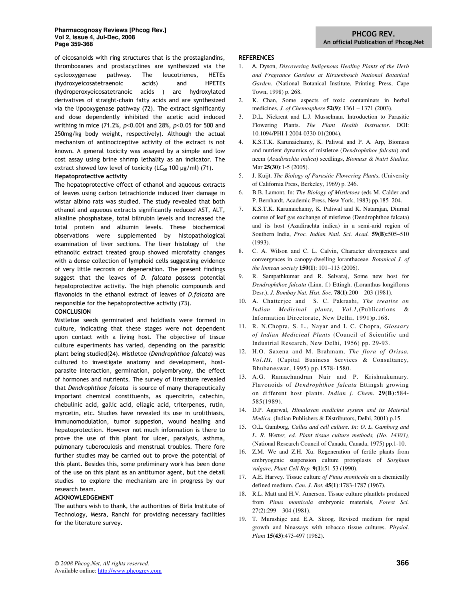of eicosanoids with ring structures that is the prostaglandins, thromboxanes and prostacyclines are synthesized via the cyclooxygenase pathway. The leucotrienes, HETEs (hydroxyeicosatetraenoic acids) and HPETEs (hydroperoxyeicosatetranoic acids ) are hydroxylated derivatives of straight-chain fatty acids and are synthesized via the lipooxygenase pathway (72). The extract significantly and dose dependently inhibited the acetic acid induced writhing in mice (71.2%, p<0.001 and 28%, p<0.05 for 500 and 250mg/kg body weight, respectively). Although the actual mechanism of antinociceptive activity of the extract is not known. A general toxicity was assayed by a simple and low cost assay using brine shrimp lethality as an indicator. The extract showed low level of toxicity (LC $_{50}$  100 µg/ml) (71).

## Hepatoprotective activity

The hepatoprotective effect of ethanol and aqueous extracts of leaves using carbon tetrachloride induced liver damage in wistar albino rats was studied. The study revealed that both ethanol and aqueous extracts significantly reduced AST, ALT, alkaline phosphatase, total bilirubin levels and increased the total protein and albumin levels. These biochemical observations were supplemented by histopathological examination of liver sections. The liver histology of the ethanolic extract treated group showed microfatty changes with a dense collection of lymphoid cells suggesting evidence of very little necrosis or degeneration. The present findings suggest that the leaves of D. falcata possess potential hepatoprotective activity. The high phenolic compounds and flavonoids in the ethanol extract of leaves of D.falcata are responsible for the hepatoprotective activity (73).

#### CONCLUSION

Mistletoe seeds germinated and holdfasts were formed in culture, indicating that these stages were not dependent upon contact with a living host. The objective of tissue culture experiments has varied, depending on the parasitic plant being studied(24). Mistletoe (Dendrophthoe falcata) was cultured to investigate anatomy and development, hostparasite interaction, germination, polyembryony, the effect of hormones and nutrients. The survey of lirerature revealed that Dendrophthoe falcata is source of many therapeutically important chemical constituents, as quercitrin, catechin, chebulinic acid, gallic acid, ellagic acid, triterpenes, rutin, myrcetin, etc. Studies have revealed its use in urolithiasis, immunomodulation, tumor suppesion, wound healing and hepatoprotection. However not much information is there to prove the use of this plant for ulcer, paralysis, asthma, pulmonary tuberoculosis and menstrual troubles. There fore further studies may be carried out to prove the potential of this plant. Besides this, some preliminary work has been done of the use on this plant as an antitumor agent, but the detail studies to explore the mechanism are in progress by our research team.

## ACKNOWLEDGEMENT

The authors wish to thank, the authorities of Birla Institute of Technology, Mesra, Ranchi for providing necessary facilities for the literature survey.

#### **REFERENCES**

- 1. A. Dyson, *Discovering Indigenous Healing Plants of the Herb and Fragrance Gardens at Kirstenbosch National Botanical Garden*. (National Botanical Institute, Printing Press, Cape Town, 1998) p. 268.
- 2. K. Chan, Some aspects of toxic contaminats in herbal medicines, *J. of Chemosphere* **52(9)**: 1361 – 1371 (2003).
- 3. D.L. Nickrent and L.J. Musselman. Introduction to Parasitic Flowering Plants. *The Plant Health Instructor*. DOI: 10.1094/PHI-I-2004-0330-01(2004).
- 4. K.S.T.K. Karunaichamy, K. Paliwal and P. A. Arp, Biomass and nutrient dynamics of mistletoe (*Dendrophthoe falcata*) and neem (*Azadirachta indica*) seedlings, *Biomass & Nutrt Studies,* Mar **25(30)**:1-5 (2005).
- 5. J. Kuijt. *The Biology of Parasitic Flowering Plants*, (University of California Press, Berkeley, 1969) p. 246.
- 6. B.B. Lamont, In: *The Biology of Mistletoes* (eds M. Calder and P. Bernhardt, Academic Press, New York, 1983) pp.185–204.
- 7. K.S.T.K. Karunaichamy, K. Paliwal and K. Natarajan, Diurnal course of leaf gas exchange of mistletoe (Dendrophthoe falcata) and its host (Azadirachta indica) in a semi-arid region of Southern India, *Proc. Indian Natl. Sci. Acad.* **59(B):**505–510 (1993).
- 8. C. A. Wilson and C. L. Calvin, Character divergences and convergences in canopy-dwelling loranthaceae. *Botanical J. of the linnean society* **150(1)**: 101–113 (2006).
- 9. R. Sampathkumar and R. Selvaraj, Some new host for *Dendrophthoe falcata* (Linn. f.) Ettingh. (Loranthus longiflorus Desr.), *J. Bombay Nat. Hist. Soc.* **78(1)**:200 – 203 (1981).
- 10. A. Chatterjee and S. C. Pakrashi, *The treatise on Indian Medicinal plants, Vol.1,*(Publications & Information Directorate, New Delhi, 1991)p.168.
- 11. R. N.Chopra, S. L., Nayar and I. C. Chopra, *Glossary of Indian Medicinal Plants* (Council of Scientific and Industrial Research, New Delhi, 1956) pp. 29-93.
- 12. H.O. Saxena and M. Brahmam, *The flora of Orissa, Vol.III,* (Capital Business Services & Consultancy, Bhubaneswar, 1995) pp.1578-1580.
- 13. A.G. Ramachandran Nair and P. Krishnakumary. Flavonoids of *Dendrophthoe falcata* Ettingsh growing on different host plants. *Indian j. Chem.* **29(B)**:584- 585(1989).
- 14. D.P. Agarwal, *Himalayan medicine system and its Material Medica,* (Indian Publishers & Distributors, Delhi, 2001) p.15.
- 15. O.L. Gamborg, *Callus and cell culture. In: O. L. Gamborg and L. R. Wetter, ed. Plant tissue culture methods, (No. 14303),* (National Research Council of Canada, Canada, 1975) pp.1-10.
- 16. Z.M. We and Z.H. Xu. Regeneration of fertile plants from embryogenic suspension culture protoplasts of *Sorghum vulgare, Plant Cell Rep.* **9(1)**:51-53 (1990).
- 17. A.E. Harvey. Tissue culture *of Pinus monticola* on a chemically defined medium. *Can. J. Bot.* **45(1)**:1783-1787 (1967).
- 18. R.L. Matt and H.V. Amerson. Tissue culture plantlets produced from *Pinus monticola* embryonic materials, *Forest Sci.*  $27(2):299 - 304(1981).$
- 19. T. Murashige and E.A. Skoog. Revised medium for rapid growth and binassays with tobacco tissue cultures. *Physiol*. *Plant* **15(43)**:473-497 (1962).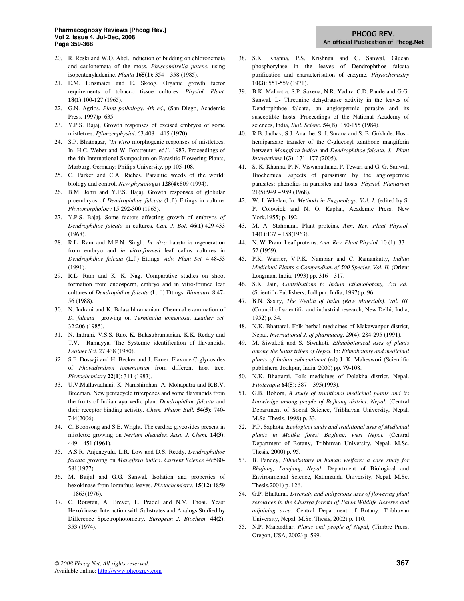- 20. R. Reski and W.O. Abel. Induction of budding on chloronemata and caulonemata of the moss, *Physcomitrella patens*, using isopentenyladenine. *Planta* **165(1)**: 354 – 358 (1985).
- 21. E.M. Linsmaier and E. Skoog. Organic growth factor requirements of tobacco tissue cultures. *Physiol*. *Plant*. **18(1)**:100-127 (1965).
- 22. G.N. Agrios, *Plant pathology*, *4th ed.,* (San Diego, Academic Press, 1997)p. 635.
- 23. Y.P.S. Bajaj, Growth responses of excised embryos of some mistletoes. *Pflanzenphysiol*. 63:408 – 415 (1970).
- 24. S.P. Bhatnagar, "*In vitro* morphogenic responses of mistletoes. In: H.C. Weber and W. Forstreuter, ed.", 1987, Proceedings of the 4th International Symposium on Parasitic Flowering Plants, Marburg, Germany: Philips University, pp.105-108.
- 25. C. Parker and C.A. Riches. Parasitic weeds of the world: biology and control. *New physiologist* **128(4)**:809 (1994).
- 26. B.M. Johri and Y.P.S. Bajaj. Growth responses of globular proembryos of *Dendrophthoe falcata* (L.f.) Ettings in culture. *Phytomorphology* 15:292-300 (1965).
- 27. Y.P.S. Bajaj. Some factors affecting growth of embryos *of Dendrophthoe falcata* in cultures. *Can. J. Bot.* **46(1)**:429-433 (1968).
- 28. R.L. Ram and M.P.N. Singh, *In vitro* haustoria regeneration from embryo and *in vitro-formed* leaf callus cultures in *Dendrophthoe falcata* (L.f.) Ettings. *Adv. Plant Sci.* 4:48-53 (1991).
- 29. R.L. Ram and K. K. Nag. Comparative studies on shoot formation from endosperm, embryo and in vitro-formed leaf cultures of *Dendrophthoe falcata* (L. f.) Ettings. *Bionature* 8:47- 56 (1988).
- 30. N. Indrani and K. Balasubhramanian. Chemical examination of *D. falcata* growing on *Terminalia tomentosa*. *Leather sci.* 32:206 (1985).
- 31. N. Indrani, V.S.S. Rao, K. Balasubramanian, K.K. Reddy and T.V. Ramayya. The Systemic identification of flavanoids. *Leather Sci.* 27:438 (1980).
- *32.* S.F. Dossaji and H. Becker and J. Exner. Flavone C-glycosides of *Phovadendron tomentosum* from different host tree. *Phytochemistry* **22(1)**: 311 (1983).
- 33. U.V.Mallavadhani, K. Narashimhan, A. Mohapatra and R.B.V. Breeman. New pentacyclc triterpenes and some flavanoids from the fruits of Indian ayurvedic plant *Dendrophthoe falcata* and their receptor binding activity. *Chem. Pharm Bull.* **54(5)**: 740- 744(2006).
- 34. C. Boonsong and S.E. Wright. The cardiac glycosides present in mistletoe growing on *Nerium oleander. Aust. J. Chem.* **14(3)**: 449—451 (1961).
- 35. A.S.R. Anjeneyulu, L.R. Low and D.S. Reddy. *Dendrophtthoe falcata* growing on *Mangifera indica*. *Current Science* 46:580- 581(1977).
- 36. M**.** Baijal and G.G. Sanwal. Isolation and properties of hexokinase from loranthus leaves. *Phytochemistry*. **15(12)**:1859 – 1863(1976)*.*
- 37. C. Roustan, A. Brevet, L. Pradel and N.V. Thoai. Yeast Hexokinase: Interaction with Substrates and Analogs Studied by Difference Spectrophotometry. *European J. Biochem*. **44(2)**: 353 (1974).
- 38. S.K. Khanna, P.S. Krishnan and G. Sanwal. Glucan phosphorylase in the leaves of Dendrophthoe falcata purification and characterisation of enzyme. *Phytochemistry* **10(3)**: 551-559 (1971).
- 39. B.K. Malhotra, S.P. Saxena, N.R. Yadav, C.D. Pande and G.G. Sanwal. L- Threonine dehydratase activity in the leaves of Dendrophthoe falcata, an angiospermic parasite and its susceptible hosts, Proceedings of the National Academy of sciences, India, *Biol. Scienc*. **54(B)**: 150-155 (1984).
- 40. R.B. Jadhav, S J. Anarthe, S. J. Surana and S. B. Gokhale. Hosthemiparasite transfer of the C-glucosyl xanthone mangiferin between *Mangifera indica* and *Dendrophthoe falcata. J. Plant Interactions* **1(3)**: 171- 177 (2005).
- 41. S. K. Khanna, P. N. Viswanathanc, P. Tewari and G. G. Sanwal. Biochemical aspects of parasitism by the angiospermic parasites: phenolics in parasites and hosts. *Physiol. Plantarum*  21(5):949 – 959 (1968)*.*
- 42. W. J. Whelan, In: *Methods in Enzymology, Vol. 1,* (edited by S. P. Colowick and N. O. Kaplan, Academic Press, New York,1955) p. 192.
- 43. M. A. Stahmann. Plant proteins. *Ann. Rev. Plant Physiol.*  **14(1)**:137 – 158(1963).
- 44. N. W. Pram. Leaf proteins. *Ann. Rev. Plant Physiol.* 10 (1): 33 52 (1959).
- 45. P.K. Warrier, V.P.K. Nambiar and C. Ramankutty, *Indian Medicinal Plants a Compendium of 500 Species, Vol. II,* (Orient Longman, India, 1993) pp. 316—317.
- 46. S.K. Jain, *Contributions to Indian Ethanobotany, 3rd ed.,* (Scientific Publishers, Jodhpur, India, 1997) p. 96.
- 47. B.N. Sastry, *The Wealth of India (Raw Materials), Vol. III,* (Council of scientific and industrial research, New Delhi, India, 1952) p. 34.
- 48. N.K. Bhattarai. Folk herbal medicines of Makawanpur district, Nepal. *International J. of pharmacog.* **29(4)**: 284-295 (1991).
- 49. M. Siwakoti and S. Siwakoti. *Ethnobotanical uses of plants among the Satar tribes of Nepal.* In: *Ethnobotany and medicinal plants of Indian subcontinent* (ed) J. K. Maheswori (Scientific publishers, Jodhpur, India, 2000) pp. 79-108.
- 50. N.K. Bhattarai. Folk medicines of Dolakha district, Nepal. *Fitoterapia* **64(5)**: 387 – 395(1993).
- 51. G.B. Bohora, *A study of traditional medicinal plants and its knowledge among people of Bajhang district, Nepal.* (Central Department of Social Science, Tribhuvan University, Nepal. M.Sc. Thesis, 1998) p. 33.
- 52. P.P. Sapkota, *Ecological study and traditional uses of Medicinal plants in Malika forest Baglung, west Nepal.* (Central Department of Botany, Tribhuvan University, Nepal. M.Sc. Thesis, 2000) p. 95.
- 53. B. Pandey, *Ethnobotany in human welfare: a case study for Bhujung, Lamjung, Nepal*. Department of Biological and Environmental Science, Kathmandu University, Nepal. M.Sc. Thesis,2001) p. 126.
- 54. G.P. Bhattarai, *Diversity and indigenous uses of flowering plant resources in the Churiya forests of Parsa Wildlife Reserve and adjoining area*. Central Department of Botany, Tribhuvan University, Nepal. M.Sc. Thesis, 2002) p. 110.
- 55. N.P. Manandhar, *Plants and people of Nepal*, (Timbre Press, Oregon, USA, 2002) p. 599.